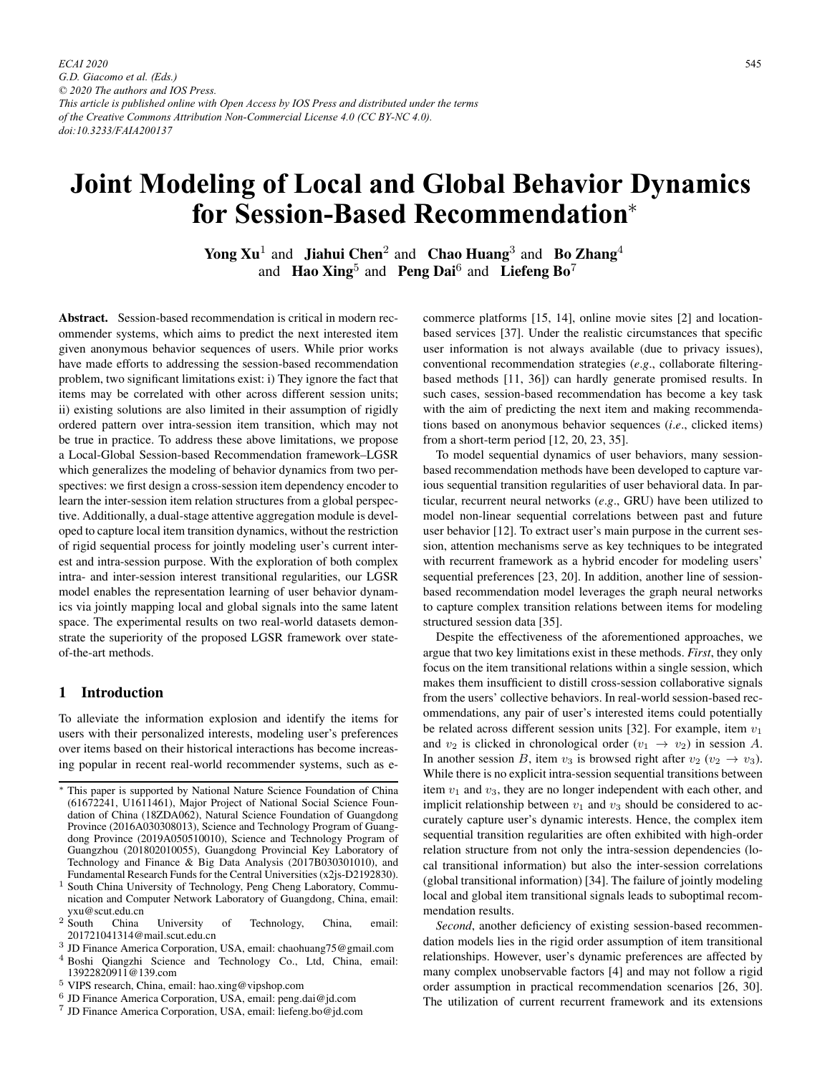# **Joint Modeling of Local and Global Behavior Dynamics for Session-Based Recommendation**<sup>∗</sup>

Yong  $Xu^1$  and Jiahui Chen<sup>2</sup> and Chao Huang<sup>3</sup> and Bo Zhang<sup>4</sup> and Hao Xing<sup>5</sup> and Peng Dai<sup>6</sup> and Liefeng Bo<sup>7</sup>

Abstract. Session-based recommendation is critical in modern recommender systems, which aims to predict the next interested item given anonymous behavior sequences of users. While prior works have made efforts to addressing the session-based recommendation problem, two significant limitations exist: i) They ignore the fact that items may be correlated with other across different session units; ii) existing solutions are also limited in their assumption of rigidly ordered pattern over intra-session item transition, which may not be true in practice. To address these above limitations, we propose a Local-Global Session-based Recommendation framework–LGSR which generalizes the modeling of behavior dynamics from two perspectives: we first design a cross-session item dependency encoder to learn the inter-session item relation structures from a global perspective. Additionally, a dual-stage attentive aggregation module is developed to capture local item transition dynamics, without the restriction of rigid sequential process for jointly modeling user's current interest and intra-session purpose. With the exploration of both complex intra- and inter-session interest transitional regularities, our LGSR model enables the representation learning of user behavior dynamics via jointly mapping local and global signals into the same latent space. The experimental results on two real-world datasets demonstrate the superiority of the proposed LGSR framework over stateof-the-art methods.

# 1 Introduction

To alleviate the information explosion and identify the items for users with their personalized interests, modeling user's preferences over items based on their historical interactions has become increasing popular in recent real-world recommender systems, such as ecommerce platforms [15, 14], online movie sites [2] and locationbased services [37]. Under the realistic circumstances that specific user information is not always available (due to privacy issues), conventional recommendation strategies (*e*.*g*., collaborate filteringbased methods [11, 36]) can hardly generate promised results. In such cases, session-based recommendation has become a key task with the aim of predicting the next item and making recommendations based on anonymous behavior sequences (*i*.*e*., clicked items) from a short-term period [12, 20, 23, 35].

To model sequential dynamics of user behaviors, many sessionbased recommendation methods have been developed to capture various sequential transition regularities of user behavioral data. In particular, recurrent neural networks (*e*.*g*., GRU) have been utilized to model non-linear sequential correlations between past and future user behavior [12]. To extract user's main purpose in the current session, attention mechanisms serve as key techniques to be integrated with recurrent framework as a hybrid encoder for modeling users' sequential preferences [23, 20]. In addition, another line of sessionbased recommendation model leverages the graph neural networks to capture complex transition relations between items for modeling structured session data [35].

Despite the effectiveness of the aforementioned approaches, we argue that two key limitations exist in these methods. *First*, they only focus on the item transitional relations within a single session, which makes them insufficient to distill cross-session collaborative signals from the users' collective behaviors. In real-world session-based recommendations, any pair of user's interested items could potentially be related across different session units [32]. For example, item  $v_1$ and  $v_2$  is clicked in chronological order  $(v_1 \rightarrow v_2)$  in session A. In another session B, item  $v_3$  is browsed right after  $v_2$  ( $v_2 \rightarrow v_3$ ). While there is no explicit intra-session sequential transitions between item  $v_1$  and  $v_3$ , they are no longer independent with each other, and implicit relationship between  $v_1$  and  $v_3$  should be considered to accurately capture user's dynamic interests. Hence, the complex item sequential transition regularities are often exhibited with high-order relation structure from not only the intra-session dependencies (local transitional information) but also the inter-session correlations (global transitional information) [34]. The failure of jointly modeling local and global item transitional signals leads to suboptimal recommendation results.

*Second*, another deficiency of existing session-based recommendation models lies in the rigid order assumption of item transitional relationships. However, user's dynamic preferences are affected by many complex unobservable factors [4] and may not follow a rigid order assumption in practical recommendation scenarios [26, 30]. The utilization of current recurrent framework and its extensions

<sup>∗</sup> This paper is supported by National Nature Science Foundation of China (61672241, U1611461), Major Project of National Social Science Foundation of China (18ZDA062), Natural Science Foundation of Guangdong Province (2016A030308013), Science and Technology Program of Guangdong Province (2019A050510010), Science and Technology Program of Guangzhou (201802010055), Guangdong Provincial Key Laboratory of Technology and Finance & Big Data Analysis (2017B030301010), and Fundamental Research Funds for the Central Universities (x2js-D2192830).

<sup>1</sup> South China University of Technology, Peng Cheng Laboratory, Communication and Computer Network Laboratory of Guangdong, China, email: yxu@scut.edu.cn<br>2 South China

China University of Technology, China, email: 201721041314@mail.scut.edu.cn

 $^3$  JD Finance America Corporation, USA, email: chaohuang75@gmail.com

<sup>4</sup> Boshi Qiangzhi Science and Technology Co., Ltd, China, email: 13922820911@139.com

<sup>5</sup> VIPS research, China, email: hao.xing@vipshop.com

<sup>6</sup> JD Finance America Corporation, USA, email: peng.dai@jd.com

<sup>7</sup> JD Finance America Corporation, USA, email: liefeng.bo@jd.com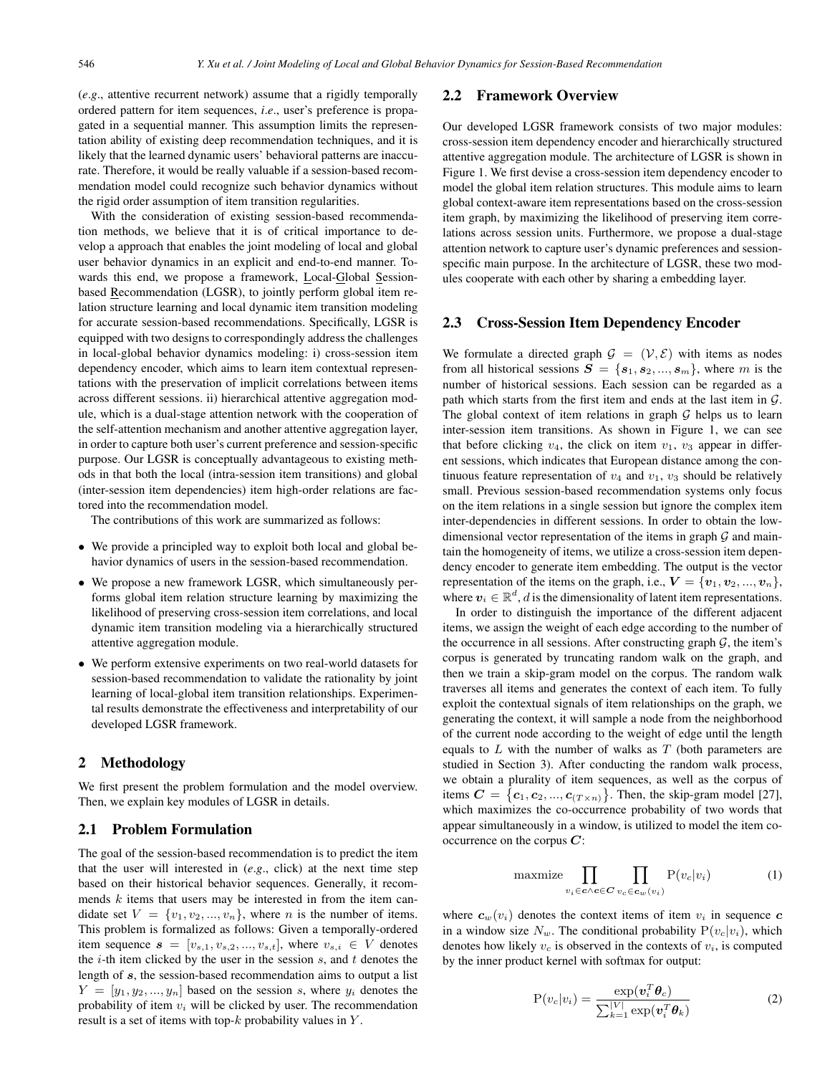(*e*.*g*., attentive recurrent network) assume that a rigidly temporally ordered pattern for item sequences, *i*.*e*., user's preference is propagated in a sequential manner. This assumption limits the representation ability of existing deep recommendation techniques, and it is likely that the learned dynamic users' behavioral patterns are inaccurate. Therefore, it would be really valuable if a session-based recommendation model could recognize such behavior dynamics without the rigid order assumption of item transition regularities.

With the consideration of existing session-based recommendation methods, we believe that it is of critical importance to develop a approach that enables the joint modeling of local and global user behavior dynamics in an explicit and end-to-end manner. Towards this end, we propose a framework, Local-Global Sessionbased Recommendation (LGSR), to jointly perform global item relation structure learning and local dynamic item transition modeling for accurate session-based recommendations. Specifically, LGSR is equipped with two designs to correspondingly address the challenges in local-global behavior dynamics modeling: i) cross-session item dependency encoder, which aims to learn item contextual representations with the preservation of implicit correlations between items across different sessions. ii) hierarchical attentive aggregation module, which is a dual-stage attention network with the cooperation of the self-attention mechanism and another attentive aggregation layer, in order to capture both user's current preference and session-specific purpose. Our LGSR is conceptually advantageous to existing methods in that both the local (intra-session item transitions) and global (inter-session item dependencies) item high-order relations are factored into the recommendation model.

The contributions of this work are summarized as follows:

- We provide a principled way to exploit both local and global behavior dynamics of users in the session-based recommendation.
- We propose a new framework LGSR, which simultaneously performs global item relation structure learning by maximizing the likelihood of preserving cross-session item correlations, and local dynamic item transition modeling via a hierarchically structured attentive aggregation module.
- We perform extensive experiments on two real-world datasets for session-based recommendation to validate the rationality by joint learning of local-global item transition relationships. Experimental results demonstrate the effectiveness and interpretability of our developed LGSR framework.

# 2 Methodology

We first present the problem formulation and the model overview. Then, we explain key modules of LGSR in details.

#### 2.1 Problem Formulation

The goal of the session-based recommendation is to predict the item that the user will interested in (*e*.*g*., click) at the next time step based on their historical behavior sequences. Generally, it recommends  $k$  items that users may be interested in from the item candidate set  $V = \{v_1, v_2, ..., v_n\}$ , where *n* is the number of items. This problem is formalized as follows: Given a temporally-ordered item sequence  $s = [v_{s,1}, v_{s,2}, ..., v_{s,t}]$ , where  $v_{s,i} \in V$  denotes the  $i$ -th item clicked by the user in the session  $s$ , and  $t$  denotes the length of *s*, the session-based recommendation aims to output a list  $Y = [y_1, y_2, ..., y_n]$  based on the session s, where  $y_i$  denotes the probability of item  $v_i$  will be clicked by user. The recommendation result is a set of items with top- $k$  probability values in  $Y$ .

## 2.2 Framework Overview

Our developed LGSR framework consists of two major modules: cross-session item dependency encoder and hierarchically structured attentive aggregation module. The architecture of LGSR is shown in Figure 1. We first devise a cross-session item dependency encoder to model the global item relation structures. This module aims to learn global context-aware item representations based on the cross-session item graph, by maximizing the likelihood of preserving item correlations across session units. Furthermore, we propose a dual-stage attention network to capture user's dynamic preferences and sessionspecific main purpose. In the architecture of LGSR, these two modules cooperate with each other by sharing a embedding layer.

## 2.3 Cross-Session Item Dependency Encoder

We formulate a directed graph  $\mathcal{G} = (\mathcal{V}, \mathcal{E})$  with items as nodes from all historical sessions  $S = \{s_1, s_2, ..., s_m\}$ , where m is the number of historical sessions. Each session can be regarded as a path which starts from the first item and ends at the last item in  $\mathcal{G}$ . The global context of item relations in graph  $G$  helps us to learn inter-session item transitions. As shown in Figure 1, we can see that before clicking  $v_4$ , the click on item  $v_1$ ,  $v_3$  appear in different sessions, which indicates that European distance among the continuous feature representation of  $v_4$  and  $v_1$ ,  $v_3$  should be relatively small. Previous session-based recommendation systems only focus on the item relations in a single session but ignore the complex item inter-dependencies in different sessions. In order to obtain the lowdimensional vector representation of the items in graph  $G$  and maintain the homogeneity of items, we utilize a cross-session item dependency encoder to generate item embedding. The output is the vector representation of the items on the graph, i.e.,  $V = \{v_1, v_2, ..., v_n\},\$ where  $v_i \in \mathbb{R}^d$ , d is the dimensionality of latent item representations.

In order to distinguish the importance of the different adjacent items, we assign the weight of each edge according to the number of the occurrence in all sessions. After constructing graph  $G$ , the item's corpus is generated by truncating random walk on the graph, and then we train a skip-gram model on the corpus. The random walk traverses all items and generates the context of each item. To fully exploit the contextual signals of item relationships on the graph, we generating the context, it will sample a node from the neighborhood of the current node according to the weight of edge until the length equals to  $L$  with the number of walks as  $T$  (both parameters are studied in Section 3). After conducting the random walk process, we obtain a plurality of item sequences, as well as the corpus of items  $C = \{c_1, c_2, ..., c_{(T \times n)}\}$ . Then, the skip-gram model [27],<br>which maximizes the co-occurrence probability of two words that which maximizes the co-occurrence probability of two words that appear simultaneously in a window, is utilized to model the item cooccurrence on the corpus *C*:

$$
\text{maxmize} \prod_{v_i \in \mathbf{c} \land \mathbf{c} \in \mathbf{C}} \prod_{v_c \in \mathbf{c}_w(v_i)} \mathbf{P}(v_c|v_i) \tag{1}
$$

where  $c_w(v_i)$  denotes the context items of item  $v_i$  in sequence  $c$ in a window size  $N_w$ . The conditional probability  $P(v_c|v_i)$ , which denotes how likely  $v_c$  is observed in the contexts of  $v_i$ , is computed by the inner product kernel with softmax for output:

$$
P(v_c|v_i) = \frac{\exp(\boldsymbol{v}_i^T \boldsymbol{\theta}_c)}{\sum_{k=1}^{|V|} \exp(\boldsymbol{v}_i^T \boldsymbol{\theta}_k)}
$$
(2)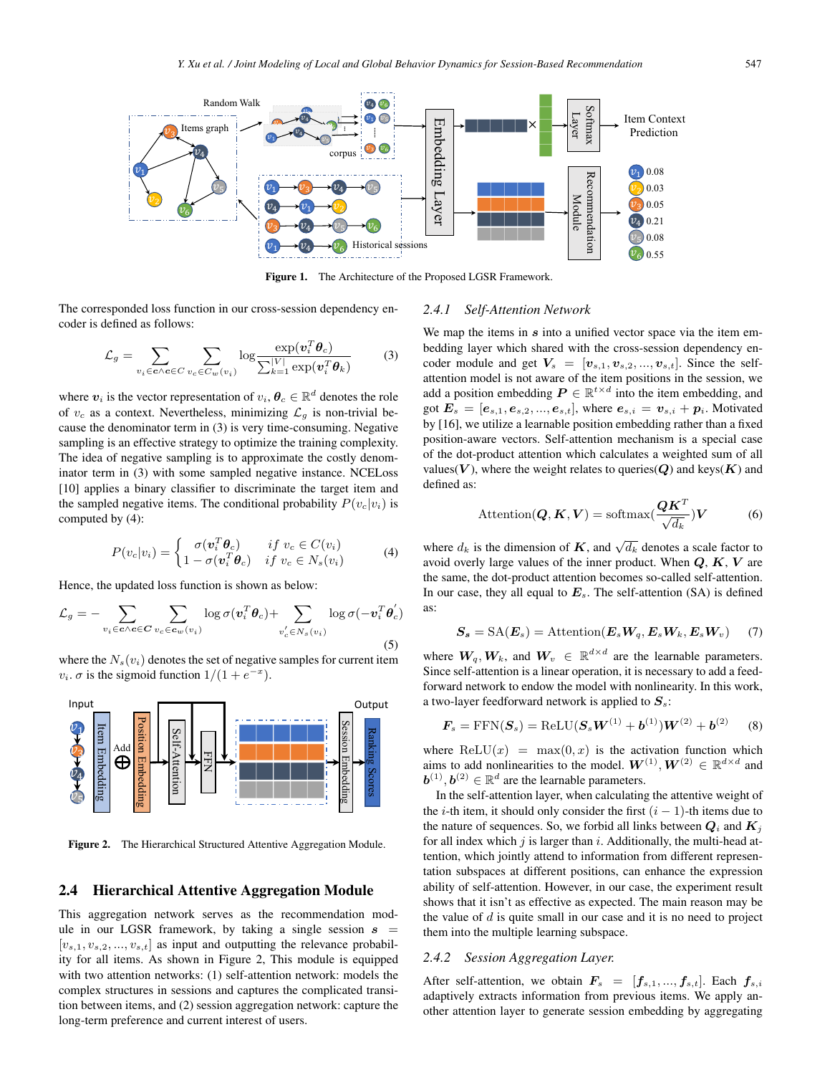

Figure 1. The Architecture of the Proposed LGSR Framework.

The corresponded loss function in our cross-session dependency encoder is defined as follows:

$$
\mathcal{L}_g = \sum_{v_i \in \mathbf{c} \wedge \mathbf{c} \in C} \sum_{v_c \in C_w(v_i)} \log \frac{\exp(\mathbf{v}_i^T \boldsymbol{\theta}_c)}{\sum_{k=1}^{|V|} \exp(\mathbf{v}_i^T \boldsymbol{\theta}_k)} \tag{3}
$$

where  $v_i$  is the vector representation of  $v_i, \theta_c \in \mathbb{R}^d$  denotes the role of  $v_c$  as a context. Nevertheless, minimizing  $\mathcal{L}_q$  is non-trivial because the denominator term in (3) is very time-consuming. Negative sampling is an effective strategy to optimize the training complexity. The idea of negative sampling is to approximate the costly denominator term in (3) with some sampled negative instance. NCELoss [10] applies a binary classifier to discriminate the target item and the sampled negative items. The conditional probability  $P(v_c|v_i)$  is computed by (4):

$$
P(v_c|v_i) = \begin{cases} \sigma(\mathbf{v}_i^T \boldsymbol{\theta}_c) & \text{if } v_c \in C(v_i) \\ 1 - \sigma(\mathbf{v}_i^T \boldsymbol{\theta}_c) & \text{if } v_c \in N_s(v_i) \end{cases} \tag{4}
$$

Hence, the updated loss function is shown as below:

$$
\mathcal{L}_g = -\sum_{v_i \in \mathbf{c} \wedge \mathbf{c} \in \mathbf{C}} \sum_{v_c \in \mathbf{c}_w(v_i)} \log \sigma(v_i^T \boldsymbol{\theta}_c) + \sum_{v'_c \in N_s(v_i)} \log \sigma(-v_i^T \boldsymbol{\theta}'_c)
$$
\n(5)

where the  $N_s(v_i)$  denotes the set of negative samples for current item  $v_i$ .  $\sigma$  is the sigmoid function  $1/(1+e^{-x})$ .



Figure 2. The Hierarchical Structured Attentive Aggregation Module.

#### 2.4 Hierarchical Attentive Aggregation Module

This aggregation network serves as the recommendation module in our LGSR framework, by taking a single session  $s =$  $[v_{s,1}, v_{s,2}, ..., v_{s,t}]$  as input and outputting the relevance probability for all items. As shown in Figure 2, This module is equipped with two attention networks: (1) self-attention network: models the complex structures in sessions and captures the complicated transition between items, and (2) session aggregation network: capture the long-term preference and current interest of users.

# *2.4.1 Self-Attention Network*

We map the items in *s* into a unified vector space via the item embedding layer which shared with the cross-session dependency encoder module and get  $V_s = [v_{s,1}, v_{s,2}, ..., v_{s,t}]$ . Since the selfattention model is not aware of the item positions in the session, we add a position embedding  $P \in \mathbb{R}^{t \times d}$  into the item embedding, and got  $E_s = [e_{s,1}, e_{s,2}, ..., e_{s,t}]$ , where  $e_{s,i} = v_{s,i} + p_i$ . Motivated by [16], we utilize a learnable position embedding rather than a fixed position-aware vectors. Self-attention mechanism is a special case of the dot-product attention which calculates a weighted sum of all values( $V$ ), where the weight relates to queries( $Q$ ) and keys( $K$ ) and defined as:

$$
\text{Attention}(\boldsymbol{Q}, \boldsymbol{K}, \boldsymbol{V}) = \text{softmax}(\frac{\boldsymbol{Q}\boldsymbol{K}^T}{\sqrt{d_k}})\boldsymbol{V} \tag{6}
$$

where  $d_k$  is the dimension of *K*, and  $\sqrt{d_k}$  denotes a scale factor to avoid overly large values of the inner product. When *Q*, *K*, *V* are the same, the dot-product attention becomes so-called self-attention. In our case, they all equal to  $E_s$ . The self-attention (SA) is defined as:

$$
S_s = \text{SA}(E_s) = \text{Attention}(E_s W_q, E_s W_k, E_s W_v) \tag{7}
$$

where  $W_q, W_k$ , and  $W_v \in \mathbb{R}^{d \times d}$  are the learnable parameters. Since self-attention is a linear operation, it is necessary to add a feedforward network to endow the model with nonlinearity. In this work, a two-layer feedforward network is applied to  $S_s$ :

$$
F_s = \text{FFN}(S_s) = \text{ReLU}(S_s W^{(1)} + b^{(1)})W^{(2)} + b^{(2)} \tag{8}
$$

where  $ReLU(x) = max(0, x)$  is the activation function which aims to add nonlinearities to the model.  $W^{(1)}$ ,  $W^{(2)} \in \mathbb{R}^{d \times d}$  and  $\mathbf{b}^{(1)}$ ,  $\mathbf{b}^{(2)} \in \mathbb{R}^d$  are the learnable parameters.

In the self-attention layer, when calculating the attentive weight of the *i*-th item, it should only consider the first  $(i - 1)$ -th items due to the nature of sequences. So, we forbid all links between  $Q_i$  and  $K_j$ for all index which  $j$  is larger than  $i$ . Additionally, the multi-head attention, which jointly attend to information from different representation subspaces at different positions, can enhance the expression ability of self-attention. However, in our case, the experiment result shows that it isn't as effective as expected. The main reason may be the value of  $d$  is quite small in our case and it is no need to project them into the multiple learning subspace.

#### *2.4.2 Session Aggregation Layer.*

After self-attention, we obtain  $\mathbf{F}_s = [\mathbf{f}_{s,1},...,\mathbf{f}_{s,t}]$ . Each  $\mathbf{f}_{s,i}$ adaptively extracts information from previous items. We apply another attention layer to generate session embedding by aggregating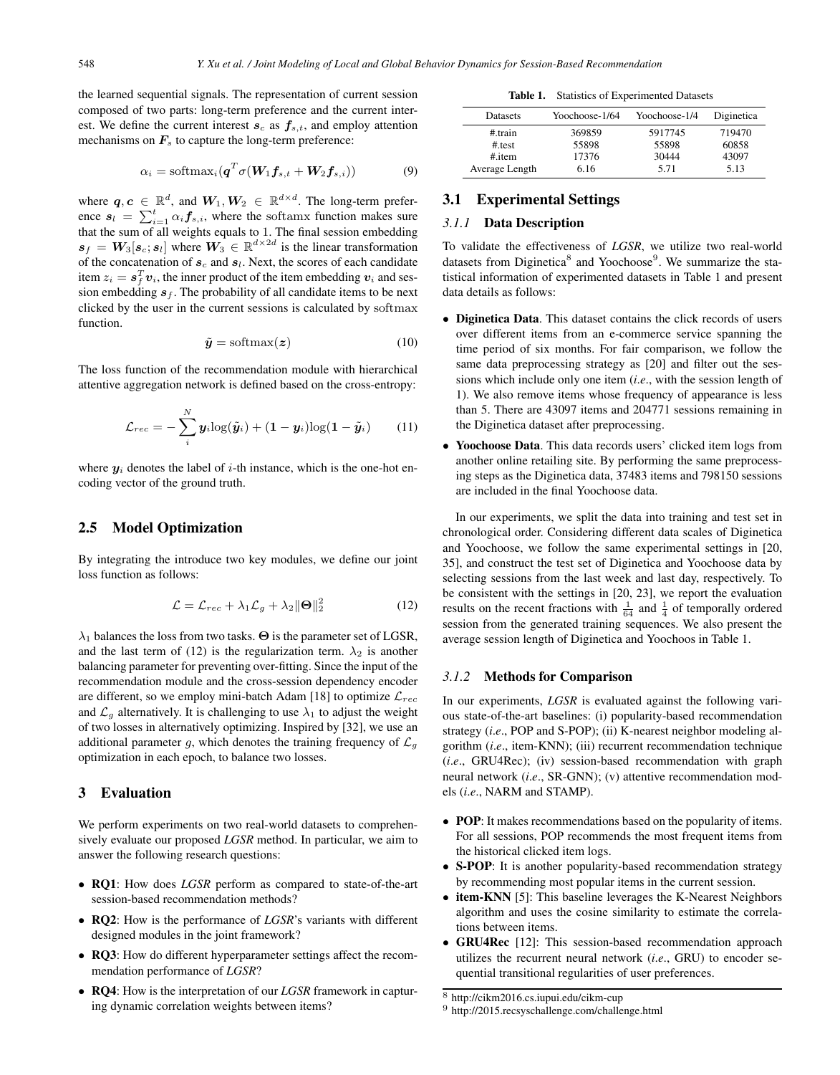the learned sequential signals. The representation of current session composed of two parts: long-term preference and the current interest. We define the current interest  $s_c$  as  $f_{s,t}$ , and employ attention mechanisms on  $\mathbf{F}_s$  to capture the long-term preference:

$$
\alpha_i = \text{softmax}_i(\boldsymbol{q}^T \sigma(\boldsymbol{W}_1 \boldsymbol{f}_{s,t} + \boldsymbol{W}_2 \boldsymbol{f}_{s,i}))
$$
(9)

where  $q, c \in \mathbb{R}^d$ , and  $W_1, W_2 \in \mathbb{R}^{d \times d}$ . The long-term preference  $s_l = \sum_{i=1}^t \alpha_i f_{s,i}$ , where the softamx function makes sure that the sum of all weights equals to 1. The final session embedding that the sum of all weights equals to 1. The final session embedding<br> $\mathbf{s}_{\ell} = \mathbf{W}_{0}[\mathbf{s} \cdot \mathbf{s}_{l}]$  where  $\mathbf{W}_{0} \in \mathbb{R}^{d \times 2d}$  is the linear transformation  $s_f = W_3[s_c; s_l]$  where  $W_3 \in \mathbb{R}^{d \times 2d}$  is the linear transformation<br>of the concatenation of s, and s. Next, the scores of each candidate of the concatenation of  $s_c$  and  $s_l$ . Next, the scores of each candidate item  $z_i = s_f^T v_i$ , the inner product of the item embedding  $v_i$  and ses-<br>sion embedding  $s_i$ . The probability of all candidate items to be next sion embedding  $s_f$ . The probability of all candidate items to be next clicked by the user in the current sessions is calculated by softmax function.

$$
\tilde{\mathbf{y}} = \text{softmax}(\mathbf{z}) \tag{10}
$$

The loss function of the recommendation module with hierarchical attentive aggregation network is defined based on the cross-entropy:

$$
\mathcal{L}_{rec} = -\sum_{i}^{N} y_i \log(\tilde{y}_i) + (1 - y_i) \log(1 - \tilde{y}_i)
$$
 (11)

where  $y_i$  denotes the label of *i*-th instance, which is the one-hot encoding vector of the ground truth.

## 2.5 Model Optimization

By integrating the introduce two key modules, we define our joint loss function as follows:

$$
\mathcal{L} = \mathcal{L}_{rec} + \lambda_1 \mathcal{L}_g + \lambda_2 ||\mathbf{\Theta}||_2^2 \tag{12}
$$

 $\lambda_1$  balances the loss from two tasks.  $\Theta$  is the parameter set of LGSR, and the last term of (12) is the regularization term.  $\lambda_2$  is another balancing parameter for preventing over-fitting. Since the input of the recommendation module and the cross-session dependency encoder are different, so we employ mini-batch Adam [18] to optimize  $\mathcal{L}_{rec}$ and  $\mathcal{L}_g$  alternatively. It is challenging to use  $\lambda_1$  to adjust the weight of two losses in alternatively optimizing. Inspired by [32], we use an additional parameter g, which denotes the training frequency of  $\mathcal{L}_g$ optimization in each epoch, to balance two losses.

# 3 Evaluation

We perform experiments on two real-world datasets to comprehensively evaluate our proposed *LGSR* method. In particular, we aim to answer the following research questions:

- RQ1: How does *LGSR* perform as compared to state-of-the-art session-based recommendation methods?
- RQ2: How is the performance of *LGSR*'s variants with different designed modules in the joint framework?
- RQ3: How do different hyperparameter settings affect the recommendation performance of *LGSR*?
- RQ4: How is the interpretation of our *LGSR* framework in capturing dynamic correlation weights between items?

Table 1. Statistics of Experimented Datasets

| Datasets       | Yoochoose-1/64 | Yoochoose-1/4 | Diginetica |
|----------------|----------------|---------------|------------|
| $#$ train      | 369859         | 5917745       | 719470     |
| #.test         | 55898          | 55898         | 60858      |
| $#$ item       | 17376          | 30444         | 43097      |
| Average Length | 6.16           | 5.71          | 5.13       |

# 3.1 Experimental Settings

# *3.1.1* Data Description

To validate the effectiveness of *LGSR*, we utilize two real-world datasets from Diginetica<sup>8</sup> and Yoochoose<sup>9</sup>. We summarize the statistical information of experimented datasets in Table 1 and present data details as follows:

- Diginetica Data. This dataset contains the click records of users over different items from an e-commerce service spanning the time period of six months. For fair comparison, we follow the same data preprocessing strategy as [20] and filter out the sessions which include only one item (*i*.*e*., with the session length of 1). We also remove items whose frequency of appearance is less than 5. There are 43097 items and 204771 sessions remaining in the Diginetica dataset after preprocessing.
- Yoochoose Data. This data records users' clicked item logs from another online retailing site. By performing the same preprocessing steps as the Diginetica data, 37483 items and 798150 sessions are included in the final Yoochoose data.

In our experiments, we split the data into training and test set in chronological order. Considering different data scales of Diginetica and Yoochoose, we follow the same experimental settings in [20, 35], and construct the test set of Diginetica and Yoochoose data by selecting sessions from the last week and last day, respectively. To be consistent with the settings in [20, 23], we report the evaluation results on the recent fractions with  $\frac{1}{64}$  and  $\frac{1}{4}$  of temporally ordered session from the generated training sequences. We also present the average session length of Diginetica and Yoochoos in Table 1.

#### *3.1.2* Methods for Comparison

In our experiments, *LGSR* is evaluated against the following various state-of-the-art baselines: (i) popularity-based recommendation strategy (*i*.*e*., POP and S-POP); (ii) K-nearest neighbor modeling algorithm (*i*.*e*., item-KNN); (iii) recurrent recommendation technique (*i*.*e*., GRU4Rec); (iv) session-based recommendation with graph neural network (*i*.*e*., SR-GNN); (v) attentive recommendation models (*i*.*e*., NARM and STAMP).

- POP: It makes recommendations based on the popularity of items. For all sessions, POP recommends the most frequent items from the historical clicked item logs.
- S-POP: It is another popularity-based recommendation strategy by recommending most popular items in the current session.
- item-KNN [5]: This baseline leverages the K-Nearest Neighbors algorithm and uses the cosine similarity to estimate the correlations between items.
- GRU4Rec [12]: This session-based recommendation approach utilizes the recurrent neural network (*i*.*e*., GRU) to encoder sequential transitional regularities of user preferences.

<sup>8</sup> http://cikm2016.cs.iupui.edu/cikm-cup

<sup>9</sup> http://2015.recsyschallenge.com/challenge.html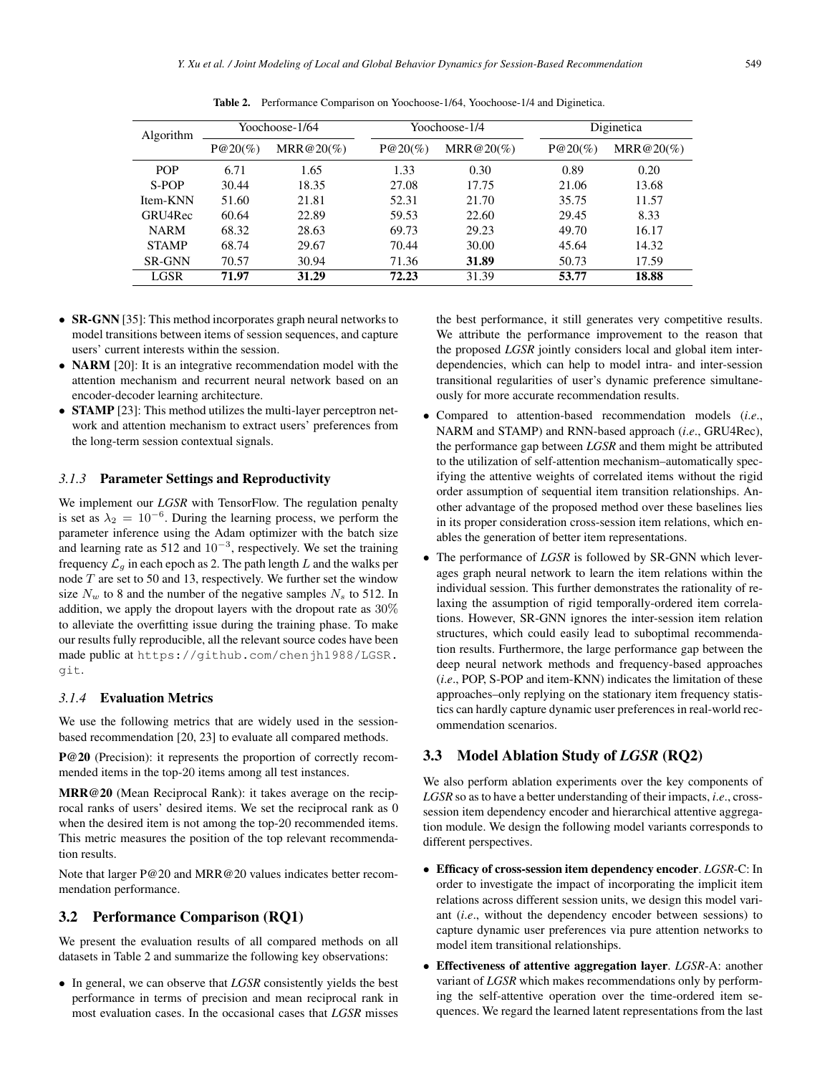| Algorithm     | Yoochoose-1/64 |              | Yoochoose-1/4 |              | Diginetica |              |
|---------------|----------------|--------------|---------------|--------------|------------|--------------|
|               | $P@20(\%)$     | $MRR@20(\%)$ | $P@20(\%)$    | $MRR@20(\%)$ | $P@20(\%)$ | $MRR@20(\%)$ |
| <b>POP</b>    | 6.71           | 1.65         | 1.33          | 0.30         | 0.89       | 0.20         |
| S-POP         | 30.44          | 18.35        | 27.08         | 17.75        | 21.06      | 13.68        |
| Item-KNN      | 51.60          | 21.81        | 52.31         | 21.70        | 35.75      | 11.57        |
| GRU4Rec       | 60.64          | 22.89        | 59.53         | 22.60        | 29.45      | 8.33         |
| <b>NARM</b>   | 68.32          | 28.63        | 69.73         | 29.23        | 49.70      | 16.17        |
| <b>STAMP</b>  | 68.74          | 29.67        | 70.44         | 30.00        | 45.64      | 14.32        |
| <b>SR-GNN</b> | 70.57          | 30.94        | 71.36         | 31.89        | 50.73      | 17.59        |
| LGSR          | 71.97          | 31.29        | 72.23         | 31.39        | 53.77      | 18.88        |

Table 2. Performance Comparison on Yoochoose-1/64, Yoochoose-1/4 and Diginetica.

- SR-GNN [35]: This method incorporates graph neural networks to model transitions between items of session sequences, and capture users' current interests within the session.
- **NARM** [20]: It is an integrative recommendation model with the attention mechanism and recurrent neural network based on an encoder-decoder learning architecture.
- **STAMP** [23]: This method utilizes the multi-layer perceptron network and attention mechanism to extract users' preferences from the long-term session contextual signals.

#### *3.1.3* Parameter Settings and Reproductivity

We implement our *LGSR* with TensorFlow. The regulation penalty is set as  $\lambda_2 = 10^{-6}$ . During the learning process, we perform the parameter inference using the Adam optimizer with the batch size and learning rate as 512 and  $10^{-3}$ , respectively. We set the training frequency  $\mathcal{L}_g$  in each epoch as 2. The path length L and the walks per node  $T$  are set to 50 and 13, respectively. We further set the window size  $N_w$  to 8 and the number of the negative samples  $N_s$  to 512. In addition, we apply the dropout layers with the dropout rate as 30% to alleviate the overfitting issue during the training phase. To make our results fully reproducible, all the relevant source codes have been made public at https://github.com/chenjh1988/LGSR. git.

# *3.1.4* Evaluation Metrics

We use the following metrics that are widely used in the sessionbased recommendation [20, 23] to evaluate all compared methods.

P@20 (Precision): it represents the proportion of correctly recommended items in the top-20 items among all test instances.

MRR@20 (Mean Reciprocal Rank): it takes average on the reciprocal ranks of users' desired items. We set the reciprocal rank as 0 when the desired item is not among the top-20 recommended items. This metric measures the position of the top relevant recommendation results.

Note that larger P@20 and MRR@20 values indicates better recommendation performance.

# 3.2 Performance Comparison (RQ1)

We present the evaluation results of all compared methods on all datasets in Table 2 and summarize the following key observations:

• In general, we can observe that *LGSR* consistently yields the best performance in terms of precision and mean reciprocal rank in most evaluation cases. In the occasional cases that *LGSR* misses

the best performance, it still generates very competitive results. We attribute the performance improvement to the reason that the proposed *LGSR* jointly considers local and global item interdependencies, which can help to model intra- and inter-session transitional regularities of user's dynamic preference simultaneously for more accurate recommendation results.

- Compared to attention-based recommendation models (*i*.*e*., NARM and STAMP) and RNN-based approach (*i*.*e*., GRU4Rec), the performance gap between *LGSR* and them might be attributed to the utilization of self-attention mechanism–automatically specifying the attentive weights of correlated items without the rigid order assumption of sequential item transition relationships. Another advantage of the proposed method over these baselines lies in its proper consideration cross-session item relations, which enables the generation of better item representations.
- The performance of *LGSR* is followed by SR-GNN which leverages graph neural network to learn the item relations within the individual session. This further demonstrates the rationality of relaxing the assumption of rigid temporally-ordered item correlations. However, SR-GNN ignores the inter-session item relation structures, which could easily lead to suboptimal recommendation results. Furthermore, the large performance gap between the deep neural network methods and frequency-based approaches (*i*.*e*., POP, S-POP and item-KNN) indicates the limitation of these approaches–only replying on the stationary item frequency statistics can hardly capture dynamic user preferences in real-world recommendation scenarios.

# 3.3 Model Ablation Study of *LGSR* (RQ2)

We also perform ablation experiments over the key components of *LGSR* so as to have a better understanding of their impacts, *i*.*e*., crosssession item dependency encoder and hierarchical attentive aggregation module. We design the following model variants corresponds to different perspectives.

- Efficacy of cross-session item dependency encoder. *LGSR*-C: In order to investigate the impact of incorporating the implicit item relations across different session units, we design this model variant (*i*.*e*., without the dependency encoder between sessions) to capture dynamic user preferences via pure attention networks to model item transitional relationships.
- Effectiveness of attentive aggregation layer. *LGSR*-A: another variant of *LGSR* which makes recommendations only by performing the self-attentive operation over the time-ordered item sequences. We regard the learned latent representations from the last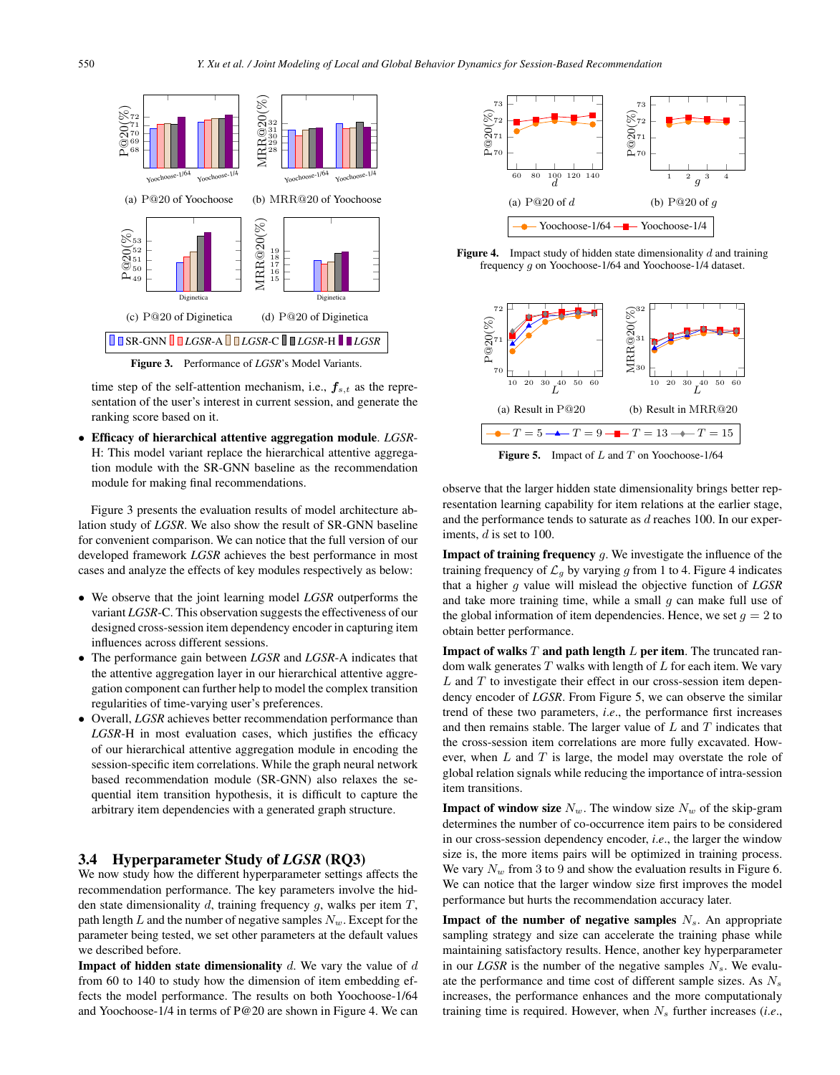

Figure 3. Performance of *LGSR*'s Model Variants.

time step of the self-attention mechanism, i.e.,  $f_{s,t}$  as the representation of the user's interest in current session, and generate the ranking score based on it.

• Efficacy of hierarchical attentive aggregation module. *LGSR*-H: This model variant replace the hierarchical attentive aggregation module with the SR-GNN baseline as the recommendation module for making final recommendations.

Figure 3 presents the evaluation results of model architecture ablation study of *LGSR*. We also show the result of SR-GNN baseline for convenient comparison. We can notice that the full version of our developed framework *LGSR* achieves the best performance in most cases and analyze the effects of key modules respectively as below:

- We observe that the joint learning model *LGSR* outperforms the variant *LGSR*-C. This observation suggests the effectiveness of our designed cross-session item dependency encoder in capturing item influences across different sessions.
- The performance gain between *LGSR* and *LGSR*-A indicates that the attentive aggregation layer in our hierarchical attentive aggregation component can further help to model the complex transition regularities of time-varying user's preferences.
- Overall, *LGSR* achieves better recommendation performance than *LGSR*-H in most evaluation cases, which justifies the efficacy of our hierarchical attentive aggregation module in encoding the session-specific item correlations. While the graph neural network based recommendation module (SR-GNN) also relaxes the sequential item transition hypothesis, it is difficult to capture the arbitrary item dependencies with a generated graph structure.

# 3.4 Hyperparameter Study of *LGSR* (RQ3)

We now study how the different hyperparameter settings affects the recommendation performance. The key parameters involve the hidden state dimensionality  $d$ , training frequency  $g$ , walks per item  $T$ , path length L and the number of negative samples  $N_w$ . Except for the parameter being tested, we set other parameters at the default values we described before.

**Impact of hidden state dimensionality**  $d$ . We vary the value of  $d$ from 60 to 140 to study how the dimension of item embedding effects the model performance. The results on both Yoochoose-1/64 and Yoochoose-1/4 in terms of P@20 are shown in Figure 4. We can



**Figure 4.** Impact study of hidden state dimensionality  $d$  and training frequency g on Yoochoose-1/64 and Yoochoose-1/4 dataset.



**Figure 5.** Impact of  $L$  and  $T$  on Yoochoose-1/64

observe that the larger hidden state dimensionality brings better representation learning capability for item relations at the earlier stage, and the performance tends to saturate as  $d$  reaches 100. In our experiments, d is set to 100.

**Impact of training frequency**  $g$ . We investigate the influence of the training frequency of  $\mathcal{L}_g$  by varying g from 1 to 4. Figure 4 indicates that a higher g value will mislead the objective function of *LGSR* and take more training time, while a small  $g$  can make full use of the global information of item dependencies. Hence, we set  $q = 2$  to obtain better performance.

**Impact of walks**  $T$  **and path length**  $L$  **per item.** The truncated random walk generates  $T$  walks with length of  $L$  for each item. We vary  $L$  and  $T$  to investigate their effect in our cross-session item dependency encoder of *LGSR*. From Figure 5, we can observe the similar trend of these two parameters, *i*.*e*., the performance first increases and then remains stable. The larger value of  $L$  and  $T$  indicates that the cross-session item correlations are more fully excavated. However, when  $L$  and  $T$  is large, the model may overstate the role of global relation signals while reducing the importance of intra-session item transitions.

**Impact of window size**  $N_w$ . The window size  $N_w$  of the skip-gram determines the number of co-occurrence item pairs to be considered in our cross-session dependency encoder, *i*.*e*., the larger the window size is, the more items pairs will be optimized in training process. We vary  $N_w$  from 3 to 9 and show the evaluation results in Figure 6. We can notice that the larger window size first improves the model performance but hurts the recommendation accuracy later.

**Impact of the number of negative samples**  $N<sub>s</sub>$ . An appropriate sampling strategy and size can accelerate the training phase while maintaining satisfactory results. Hence, another key hyperparameter in our *LGSR* is the number of the negative samples  $N_s$ . We evaluate the performance and time cost of different sample sizes. As  $N_s$ increases, the performance enhances and the more computationaly training time is required. However, when  $N_s$  further increases (*i.e.*,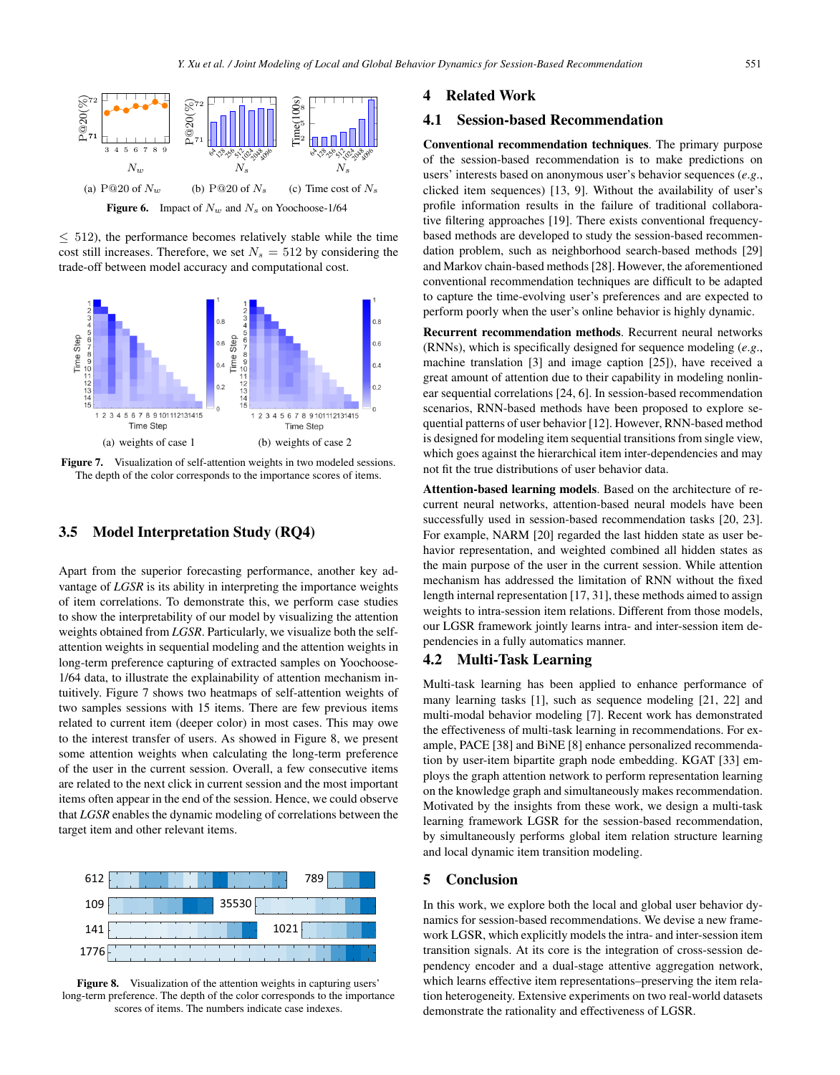

Figure 6. Impact of  $N_w$  and  $N_s$  on Yoochoose-1/64

 $\leq$  512), the performance becomes relatively stable while the time cost still increases. Therefore, we set  $N_s = 512$  by considering the trade-off between model accuracy and computational cost.



Figure 7. Visualization of self-attention weights in two modeled sessions. The depth of the color corresponds to the importance scores of items.

# 3.5 Model Interpretation Study (RQ4)

Apart from the superior forecasting performance, another key advantage of *LGSR* is its ability in interpreting the importance weights of item correlations. To demonstrate this, we perform case studies to show the interpretability of our model by visualizing the attention weights obtained from *LGSR*. Particularly, we visualize both the selfattention weights in sequential modeling and the attention weights in long-term preference capturing of extracted samples on Yoochoose-1/64 data, to illustrate the explainability of attention mechanism intuitively. Figure 7 shows two heatmaps of self-attention weights of two samples sessions with 15 items. There are few previous items related to current item (deeper color) in most cases. This may owe to the interest transfer of users. As showed in Figure 8, we present some attention weights when calculating the long-term preference of the user in the current session. Overall, a few consecutive items are related to the next click in current session and the most important items often appear in the end of the session. Hence, we could observe that *LGSR* enables the dynamic modeling of correlations between the target item and other relevant items.



Figure 8. Visualization of the attention weights in capturing users' long-term preference. The depth of the color corresponds to the importance scores of items. The numbers indicate case indexes.

# 4 Related Work

#### 4.1 Session-based Recommendation

Conventional recommendation techniques. The primary purpose of the session-based recommendation is to make predictions on users' interests based on anonymous user's behavior sequences (*e*.*g*., clicked item sequences) [13, 9]. Without the availability of user's profile information results in the failure of traditional collaborative filtering approaches [19]. There exists conventional frequencybased methods are developed to study the session-based recommendation problem, such as neighborhood search-based methods [29] and Markov chain-based methods [28]. However, the aforementioned conventional recommendation techniques are difficult to be adapted to capture the time-evolving user's preferences and are expected to perform poorly when the user's online behavior is highly dynamic.

Recurrent recommendation methods. Recurrent neural networks (RNNs), which is specifically designed for sequence modeling (*e*.*g*., machine translation [3] and image caption [25]), have received a great amount of attention due to their capability in modeling nonlinear sequential correlations [24, 6]. In session-based recommendation scenarios, RNN-based methods have been proposed to explore sequential patterns of user behavior [12]. However, RNN-based method is designed for modeling item sequential transitions from single view, which goes against the hierarchical item inter-dependencies and may not fit the true distributions of user behavior data.

Attention-based learning models. Based on the architecture of recurrent neural networks, attention-based neural models have been successfully used in session-based recommendation tasks [20, 23]. For example, NARM [20] regarded the last hidden state as user behavior representation, and weighted combined all hidden states as the main purpose of the user in the current session. While attention mechanism has addressed the limitation of RNN without the fixed length internal representation [17, 31], these methods aimed to assign weights to intra-session item relations. Different from those models, our LGSR framework jointly learns intra- and inter-session item dependencies in a fully automatics manner.

# 4.2 Multi-Task Learning

Multi-task learning has been applied to enhance performance of many learning tasks [1], such as sequence modeling [21, 22] and multi-modal behavior modeling [7]. Recent work has demonstrated the effectiveness of multi-task learning in recommendations. For example, PACE [38] and BiNE [8] enhance personalized recommendation by user-item bipartite graph node embedding. KGAT [33] employs the graph attention network to perform representation learning on the knowledge graph and simultaneously makes recommendation. Motivated by the insights from these work, we design a multi-task learning framework LGSR for the session-based recommendation, by simultaneously performs global item relation structure learning and local dynamic item transition modeling.

## 5 Conclusion

In this work, we explore both the local and global user behavior dynamics for session-based recommendations. We devise a new framework LGSR, which explicitly models the intra- and inter-session item transition signals. At its core is the integration of cross-session dependency encoder and a dual-stage attentive aggregation network, which learns effective item representations–preserving the item relation heterogeneity. Extensive experiments on two real-world datasets demonstrate the rationality and effectiveness of LGSR.